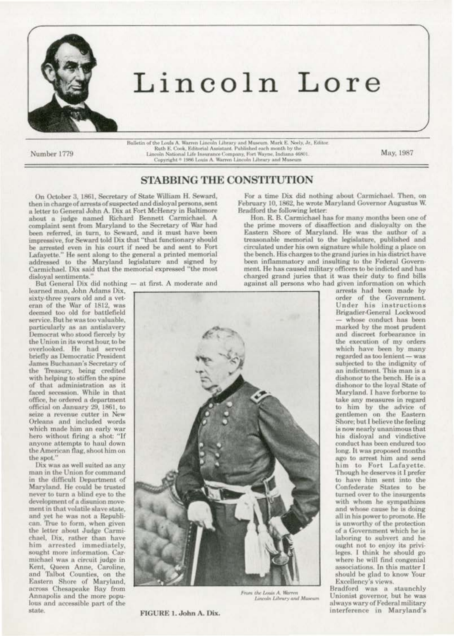

## Lincoln Lore

Number 1779

Bulletin of the Louis A. Warren Lincoln Library and Museum. Mark E. Neely, Jr., Editor. Ruth E. Cook, Editorial Assistant. Published each month by the Lincoln National Life Insurance Company, Fort Wayne, Indiana 46801. Copyright  $^{\circ}$  1986 Louis A. Warren Lincoln Library and Museum

May, 1987

## **STABBING THE CONSTITUTION**

On October 3, 1861, Secretary of State William H. Seward, then in charge of arrests of suspected and disloyal persons, sent a letter to General John A. Dix at Fort McHenry in Baltimore about a judge named Richard Bennett Carmichael. A complaint sent from Maryland to the Secretary of War had been referred, in turn, to Seward, and it must have been impressive, for Seward told Dix that "that functionary should be arrested even in his court if need be and sent to Fort Lafayette." He sent along to the general a printed memorial<br>addressed to the Maryland legislature and signed by Carmichael. Dix said that the memorial expressed "the most disloval sentiments.'

But General Dix did nothing - at first. A moderate and

learned man, John Adams Dix, sixty-three years old and a veteran of the War of 1812, was deemed too old for battlefield service. But he was too valuable, particularly as an antislavery Democrat who stood fiercely by the Union in its worst hour, to be overlooked. He had served briefly as Democratic President James Buchanan's Secretary of the Treasury, being credited with helping to stiffen the spine of that administration as it faced secession. While in that office, he ordered a department official on January 29, 1861, to seize a revenue cutter in New Orleans and included words which made him an early war hero without firing a shot: "If anyone attempts to haul down the American flag, shoot him on the spot."

Dix was as well suited as any man in the Union for command in the difficult Department of Maryland. He could be trusted never to turn a blind eye to the development of a disunion movement in that volatile slave state. and yet he was not a Republican. True to form, when given the letter about Judge Carmichael, Dix, rather than have him arrested immediately, sought more information. Carmichael was a circuit judge in<br>Kent, Queen Anne, Caroline, and Talbot Counties, on the Eastern Shore of Maryland, across Chesapeake Bay from Annapolis and the more populous and accessible part of the state.



From the Louis A. Warren Lincoln Library and Museum

FIGURE 1. John A. Dix.

For a time Dix did nothing about Carmichael. Then, on February 10, 1862, he wrote Maryland Governor Augustus W. Bradford the following letter:

Hon. R. B. Carmichael has for many months been one of the prime movers of disaffection and disloyalty on the Eastern Shore of Maryland. He was the author of a treasonable memorial to the legislature, published and circulated under his own signature while holding a place on the bench. His charges to the grand juries in his district have been inflammatory and insulting to the Federal Government. He has caused military officers to be indicted and has charged grand juries that it was their duty to find bills against all persons who had given information on which

arrests had been made by order of the Government.<br>Under his instructions Brigadier-General Lockwood whose conduct has been marked by the most prudent and discreet forbearance in the execution of my orders which have been by many regarded as too lenient - was subjected to the indignity of an indictment. This man is a dishonor to the bench. He is a dishonor to the loyal State of Maryland. I have forborne to take any measures in regard to him by the advice of gentlemen on the Eastern Shore; but I believe the feeling is now nearly unanimous that his disloyal and vindictive conduct has been endured too long. It was proposed months ago to arrest him and send him to Fort Lafayette. Though he deserves it I prefer to have him sent into the Confederate States to be turned over to the insurgents with whom he sympathizes and whose cause he is doing all in his power to promote. He is unworthy of the protection of a Government which he is laboring to subvert and he ought not to enjoy its privileges. I think he should go where he will find congenial associations. In this matter I should be glad to know Your Excellency's views.

Bradford was a staunchly Unionist governor, but he was always wary of Federal military interference in Maryland's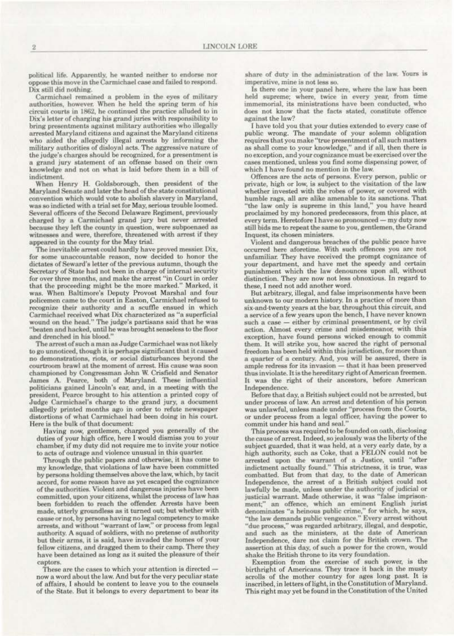political life. Apparently, he wanted neither to endorse nor oppose this move in the Carmichael case and failed to respond. Dix still did nothing.

Carmichael remained a problem in the eyes of military authorities, however. When he held the spring term of his circuit courts in 1862, he continued the practice alluded to in Dix's letter of charging his grand juries with responsibility to bring presentments against military authorities who illegally arrested Maryland citizens and against the Maryland citizens who aided the allegedly illegal arrests by informing the military authorities of disloyal acts. The aggressive nature of the judge's charges should be recognized, for a presentment is a grand jury statement of an offense based on their own knowledge and not on what is laid before them in a bill of indictment.

When Henry H. Goldsborough, then president of the Maryland Senate and later the head of the state constitutional convention which would vote to abolish slavery in Maryland, was so indicted with a trial set for May, serious trouble loomed. Several officers of the Second Delaware Regiment, previously charged by a Carmichael grand jury but never arrested because they left the county in question, were subpoenaed as witnesses and were, therefore, threatened with arrest if they appeared in the county for the May trial.

The inevitable arrest could hardly have proved messier. Dix, for some unaccountable reason, now decided to honor the dictates of Seward's letter of the previous autumn, though the Secretary of State had not been in charge of internal security for over three months, and make the arrest "in Court in order that the proceeding might be the more marked." Marked, it was. When Baltimore's Deputy Provost Marshal and four policemen came to the court in Easton, Carmichael refused to recognize their authority and a scuffle ensued in which Carmichael received what Dix characterized as "a superficial<br>wound on the head." The judge's partisans said that he was<br>"beaten and hacked, until he was brought senseless to the floor and drenched in his blood."

The arrest of such a man as Judge Carmichael was not likely to go unnoticed, though it is perhaps significant that it caused no demonstrations, riots, or social disturbances beyond the courtroom brawl at the moment of arrest. His cause was soon championed by Congressman John W. Crisfield and Senator James A. Pearce, both of Maryland. These influential politicians gained Lincoln's ear, and, in a meeting with the president, Pearce brought to his attention a printed copy of Judge Carmichael's charge to the grand jury, a document allegedly printed months ago in order to refute newspaper distortions of what Carmichael had been doing in his court. Here is the bulk of that document:

Having now, gentlemen, charged you generally of the duties of your high office, here I would dismiss you to your chamber, if my duty did not require me to invite your notice to acts of outrage and violence unusual in this quarter.

Through the public papers and otherwise, it has come to my knowledge, that violations of law have been committed by persons holding themselves above the law, which, by tacit accord, for some reason have as yet escaped the cognizance of the authorities. Violent and dangerous injuries have been committed, upon your citizens, whilst the process of law has been forbidden to reach the offender. Arrests have been made, utterly groundless as it turned out; but whether with cause or not, by persons having no legal competency to make arrests, and without "warrant of law," or process from legal authority. A squad of soldiers, with no pretense of authority but their arms, it is said, have invaded the homes of your fellow citizens, and dragged them to their camp. There they have been detained as long as it suited the pleasure of their captors.

These are the cases to which your attention is directed now a word about the law. And but for the very peculiar state of affairs. I should be content to leave you to the counsels of the State. But it belongs to every department to bear its

share of duty in the administration of the law. Yours is imperative, mine is not less so.

Is there one in your panel here, where the law has been held supreme; where, twice in every year, from time immemorial, its ministrations have been conducted, who does not know that the facts stated, constitute offence against the law?

I have told you that your duties extended to every case of public wrong. The mandate of your solemn obligation requires that you make "true presentment of all such matters as shall come to your knowledge," and if all, then there is no exception, and your cognizance must be exercised over the cases mentioned, unless you find some dispensing power, of which I have found no mention in the law.

Offences are the acts of persons. Every person, public or private, high or low, is subject to the visitation of the law whether invested with the robes of power, or covered with humble rags, all are alike amenable to its sanctions. That "the law only is supreme in this land," you have heard proclaimed by my honored predecessors, from this place, at every term. Heretofore I have so pronounced — my duty now still bids me to repeat the same to you, gentlemen, the Grand Inquest, its chosen ministers.

Violent and dangerous breaches of the public peace have occurred here aforetime. With such offences you are not unfamiliar. They have received the prompt cognizance of your department, and have met the speedy and certain punishment which the law denounces upon all, without distinction. They are now not less obnoxious. In regard to these, I need not add another word.

But arbitrary, illegal, and false imprisonments have been unknown to our modern history. In a practice of more than six-and-twenty years at the bar, throughout this circuit, and a service of a few years upon the bench, I have never known such a case - either by criminal presentment, or by civil action. Almost every crime and misdemeanor, with this exception, have found persons wicked enough to commit them. It will strike you, how sacred the right of personal freedom has been held within this jurisdiction, for more than a quarter of a century. And, you will be assured, there is ample redress for its invasion - that it has been preserved thus inviolate. It is the hereditary right of American freemen. It was the right of their ancestors, before American Independence.

Before that day, a British subject could not be arrested, but under process of law. An arrest and detention of his person was unlawful, unless made under "process from the Courts, or under process from a legal officer, having the power to commit under his hand and seal.'

This process was required to be founded on oath, disclosing the cause of arrest. Indeed, so jealously was the liberty of the subject guarded, that it was held, at a very early date, by a high authority, such as Coke, that a FELON could not be arrested upon the warrant of a Justice, until "after indictment actually found." This strictness, it is true, was combatted. But from that day, to the date of American Independence, the arrest of a British subject could not lawfully be made, unless under the authority of judicial or justicial warrant. Made otherwise, it was "false imprisonment;" an offence, which an eminent English jurist denominates "a heinous public crime," for which, he says, "the law demands public vengeance." Every arrest without "due process," was regarded arbitrary, illegal, and despotic, and such as the ministers, at the date of American Independence, dare not claim for the British crown. The assertion at this day, of such a power for the crown, would shake the British throne to its very foundation.

Exemption from the exercise of such power, is the birthright of Americans. They trace it back in the musty scrolls of the mother country for ages long past. It is inscribed, in letters of light, in the Constitution of Maryland. This right may yet be found in the Constitution of the United

 $\bar{2}$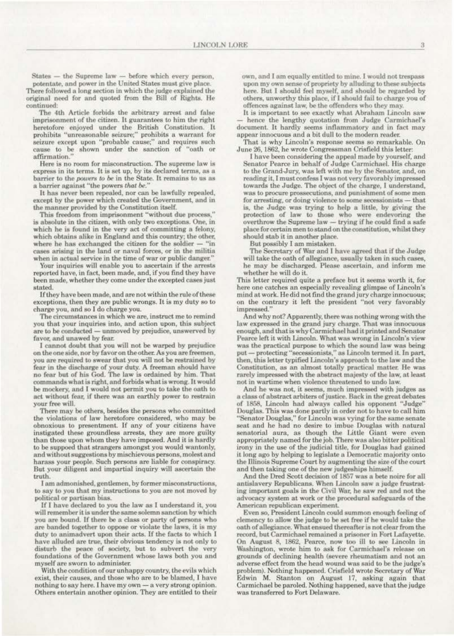States - the Supreme law -- before which every person,

potentate, and power in the United States must give place. There followed a long section in which the judge explained the original need for and quoted from the Bill of Rights. He continued:

The 4th Article forbids the arbitrary arrest and false imprisonment of the citizen. It guarantees to him the right heretofore enjoyed under the British Constitution. It prohibits "unreasonable seizure;" prohibits a warrant for seizure except upon "probable cause;" and requires such cause to be shown under the sanction of "oath or affirmation.

Here is no room for misconstruction. The supreme law is express in its terms. It is set up, by its declared terms, as a barrier to the powers to be in the State. It remains to us as a barrier against "the powers that be."

It has never been repealed, nor can be lawfully repealed, except by the power which created the Government, and in the manner provided by the Constitution itself.

This freedom from imprisonment "without due process," is absolute in the citizen, with only two exceptions. One, in which he is found in the very act of committing a felony, which obtains alike in England and this country; the other, where he has exchanged the citizen for the soldier  $-$  "in cases arising in the land or naval forces, or in the militia when in actual service in the time of war or public danger."

Your inquiries will enable you to ascertain if the arrests reported have, in fact, been made, and, if you find they have been made, whether they come under the excepted cases just stated.

If they have been made, and are not within the rule of these exceptions, then they are public wrongs. It is my duty so to charge you, and so I do charge you.

The circumstances in which we are, instruct me to remind you that your inquiries into, and action upon, this subject are to be conducted - unmoved by prejudice, unswerved by favor, and unawed by fear.

I cannot doubt that you will not be warped by prejudice on the one side, nor by favor on the other. As you are freemen, you are required to swear that you will not be restrained by fear in the discharge of your duty. A freeman should have no fear but of his God. The law is ordained by him. That commands what is right, and forbids what is wrong. It would be mockery, and I would not permit you to take the oath to act without fear, if there was an earthly power to restrain your free will.

There may be others, besides the persons who committed the violations of law heretofore considered, who may be obnoxious to presentment. If any of your citizens have instigated these groundless arrests, they are more guilty than those upon whom they have imposed. And it is hardly to be suppoed that strangers amongst you would wantonly, and without suggestions by mischievous persons, molest and harass your people. Such persons are liable for conspiracy. But your diligent and impartial inquiry will ascertain the truth.

I am admonished, gentlemen, by former misconstructions, to say to you that my instructions to you are not moved by political or partisan bias.

If I have declared to you the law as I understand it, you will remember it is under the same solemn sanction by which you are bound. If there be a class or party of persons who are banded together to oppose or violate the laws, it is my duty to animadvert upon their acts. If the facts to which I have alluded are true, their obvious tendency is not only to disturb the peace of society, but to subvert the very foundations of the Government whose laws both you and myself are sworn to administer.

With the condition of our unhappy country, the evils which exist, their causes, and those who are to be blamed, I have nothing to say here. I have my own - a very strong opinion. Others entertain another opinion. They are entitled to their own, and I am equally entitled to mine. I would not trespass upon my own sense of propriety by alluding to these subjects here. But I should feel myself, and should be regarded by others, unworthy this place, if I should fail to charge you of offences against law, be the offenders who they may.

It is important to see exactly what Abraham Lincoln saw hence the lengthy quotation from Judge Carmichael's document. It hardly seems inflammatory and in fact may appear innocuous and a bit dull to the modern reader.

That is why Lincoln's response seems so remarkable. On June 26, 1862, he wrote Congressman Crisfield this letter:

I have been considering the appeal made by yourself, and Senator Pearce in behalf of Judge Carmichael. His charge to the Grand-Jury, was left with me by the Senator, and, on reading it, I must confess I was not very favorably impressed towards the Judge. The object of the charge, I understand, was to procure prossecutions, and punishment of some men for arresting, or doing violence to some secessionists - that is, the Judge was trying to help a little, by giving the protection of law to those who were endevoring the overthrow the Supreme law - trying if he could find a safe place for certain men to stand on the constitution, whilst they should stab it in another place.

But possibly I am mistaken.

The Secretary of War and I have agreed that if the Judge will take the oath of allegiance, usually taken in such cases, he may be discharged. Please ascertain, and inform me whether he will do it.

This letter required quite a preface but it seems worth it, for here one catches an especially revealing glimpse of Lincoln's mind at work. He did not find the grand jury charge innocuous; on the contrary it left the president "not very favorably impressed."

And why not? Apparently, there was nothing wrong with the law expressed in the grand jury charge. That was innocuous enough, and that is why Carmichael had it printed and Senator Pearce left it with Lincoln. What was wrong in Lincoln's view was the practical purpose to which the sound law was being put - protecting "secessionists," as Lincoln termed it. In part, then, this letter typified Lincoln's approach to the law and the Constitution, as an almost totally practical matter. He was rarely impressed with the abstract majesty of the law, at least not in wartime when violence threatened to undo law.

And he was not, it seems, much impressed with judges as a class of abstract arbiters of justice. Back in the great debates of 1858, Lincoln had always called his opponent "Judge" Douglas. This was done partly in order not to have to call him "Senator Douglas," for Lincoln was vying for the same senate seat and he had no desire to imbue Douglas with natural senatorial aura, as though the Little Giant were even appropriately named for the job. There was also bitter political irony in the use of the judicial title, for Douglas had gained it long ago by helping to legislate a Democratic majority onto the Illinois Supreme Court by augmenting the size of the court and then taking one of the new judgeships himself.

And the Dred Scott decision of 1857 was a bete noire for all antislavery Republicans. When Lincoln saw a judge frustrating important goals in the Civil War, he saw red and not the advocacy system at work or the procedural safeguards of the American republican experiment.

Even so, President Lincoln could summon enough feeling of clemency to allow the judge to be set free if he would take the oath of allegiance. What ensued thereafter is not clear from the record, but Carmichael remained a prisoner in Fort Lafayette. On August 8, 1862, Pearce, now too ill to see Lincoln in Washington, wrote him to ask for Carmichael's release on grounds of declining health (severe rheumatism and not an adverse effect from the head wound was said to be the judge's problem). Nothing happened. Crisfield wrote Secretary of War Edwin M. Stanton on August 17, asking again that Carmichael be paroled. Nothing happened, save that the judge was transferred to Fort Delaware.